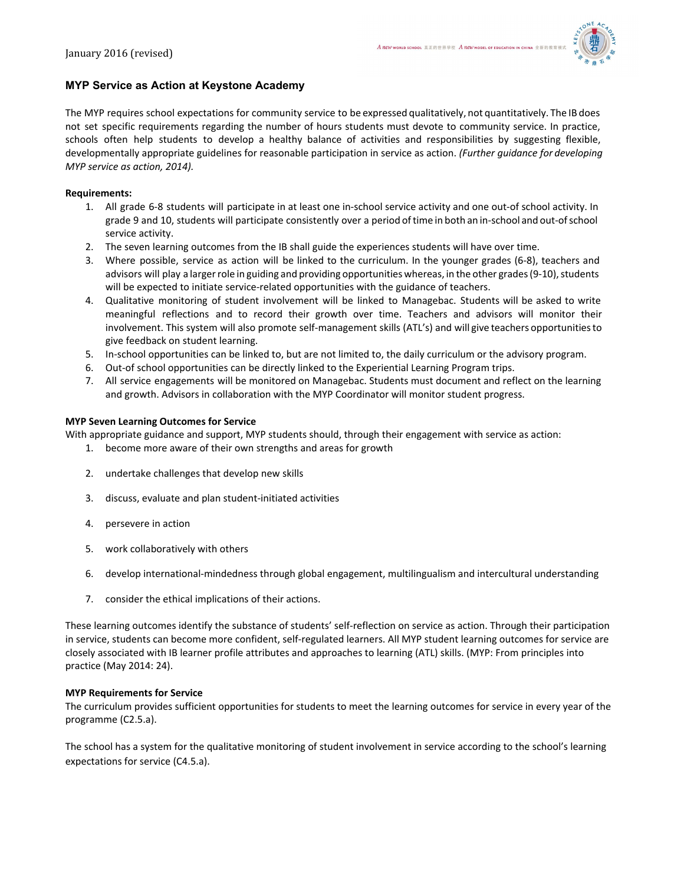

# **MYP Service as Action at Keystone Academy**

The MYP requires school expectations for community service to be expressed qualitatively, not quantitatively. The IB does not set specific requirements regarding the number of hours students must devote to community service. In practice, schools often help students to develop a healthy balance of activities and responsibilities by suggesting flexible, developmentally appropriate guidelines for reasonable participation in service as action. *(Further guidance for developing MYP service as action, 2014).*

## **Requirements:**

- 1. All grade 6-8 students will participate in at least one in-school service activity and one out-of school activity. In grade 9 and 10, students will participate consistently over a period of time in both an in-school and out-of school service activity.
- 2. The seven learning outcomes from the IB shall guide the experiences students will have over time.
- 3. Where possible, service as action will be linked to the curriculum. In the younger grades (6-8), teachers and advisors will play a larger role in guiding and providing opportunities whereas, in the other grades (9-10), students will be expected to initiate service-related opportunities with the guidance of teachers.
- 4. Qualitative monitoring of student involvement will be linked to Managebac. Students will be asked to write meaningful reflections and to record their growth over time. Teachers and advisors will monitor their involvement. This system will also promote self-management skills (ATL's) and will give teachers opportunities to give feedback on student learning.
- 5. Inschool opportunities can be linked to, but are not limited to, the daily curriculum or the advisory program.
- 6. Out-of school opportunities can be directly linked to the Experiential Learning Program trips.
- 7. All service engagements will be monitored on Managebac. Students must document and reflect on the learning and growth. Advisors in collaboration with the MYP Coordinator will monitor student progress.

### **MYP Seven Learning Outcomes for Service**

With appropriate guidance and support, MYP students should, through their engagement with service as action:

- 1. become more aware of their own strengths and areas for growth
- 2. undertake challenges that develop new skills
- 3. discuss, evaluate and plan student-initiated activities
- 4. persevere in action
- 5. work collaboratively with others
- 6. develop international-mindedness through global engagement, multilingualism and intercultural understanding
- 7. consider the ethical implications of their actions.

These learning outcomes identify the substance of students' self-reflection on service as action. Through their participation in service, students can become more confident, self-regulated learners. All MYP student learning outcomes for service are closely associated with IB learner profile attributes and approaches to learning (ATL) skills. (MYP: From principles into practice (May 2014: 24).

### **MYP Requirements for Service**

The curriculum provides sufficient opportunities for students to meet the learning outcomes for service in every year of the programme (C2.5.a).

The school has a system for the qualitative monitoring of student involvement in service according to the school's learning expectations for service (C4.5.a).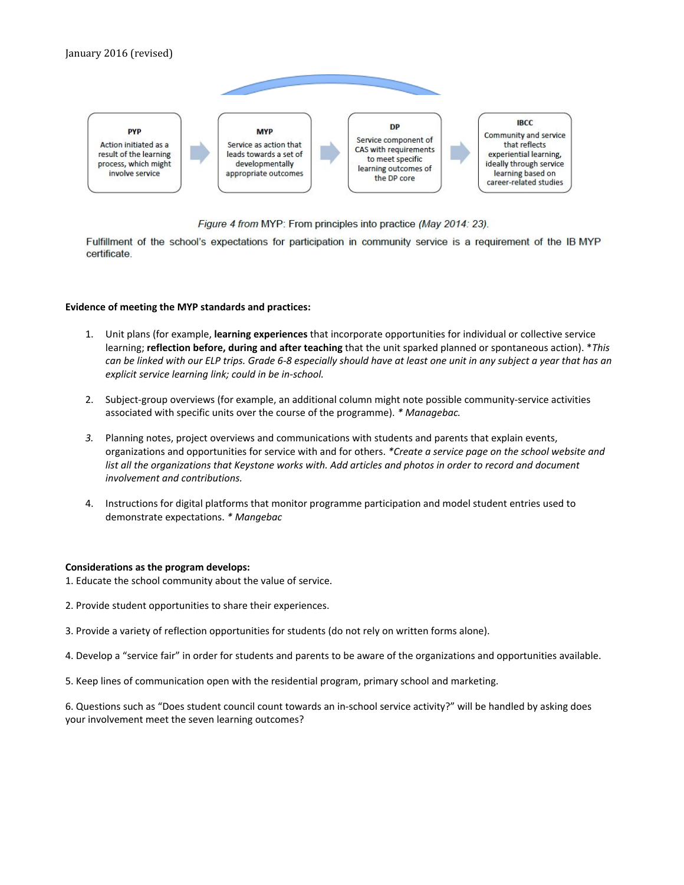

Figure 4 from MYP: From principles into practice (May 2014: 23).

Fulfillment of the school's expectations for participation in community service is a requirement of the IB MYP certificate.

### **Evidence of meeting the MYP standards and practices:**

- 1. Unit plans (for example, **learning experiences** that incorporate opportunities for individual or collective service learning; **reflection before, during and after teaching** that the unit sparked planned or spontaneous action). \**This* can be linked with our ELP trips. Grade 6-8 especially should have at least one unit in any subject a year that has an *explicit service learning link; could in be in-school.*
- 2. Subject-group overviews (for example, an additional column might note possible community-service activities associated with specific units over the course of the programme). *\* Managebac.*
- *3.* Planning notes, project overviews and communications with students and parents that explain events, organizations and opportunities for service with and for others. *\*Create a service page on the school website and list all the organizations that Keystone works with. Add articles and photos in order to record and document involvement and contributions.*
- 4. Instructions for digital platforms that monitor programme participation and model student entries used to demonstrate expectations. *\* Mangebac*

### **Considerations as the program develops:**

1. Educate the school community about the value of service.

- 2. Provide student opportunities to share their experiences.
- 3. Provide a variety of reflection opportunities for students (do not rely on written forms alone).
- 4. Develop a "service fair" in order for students and parents to be aware of the organizations and opportunities available.
- 5. Keep lines of communication open with the residential program, primary school and marketing.

6. Questions such as "Does student council count towards an in-school service activity?" will be handled by asking does your involvement meet the seven learning outcomes?